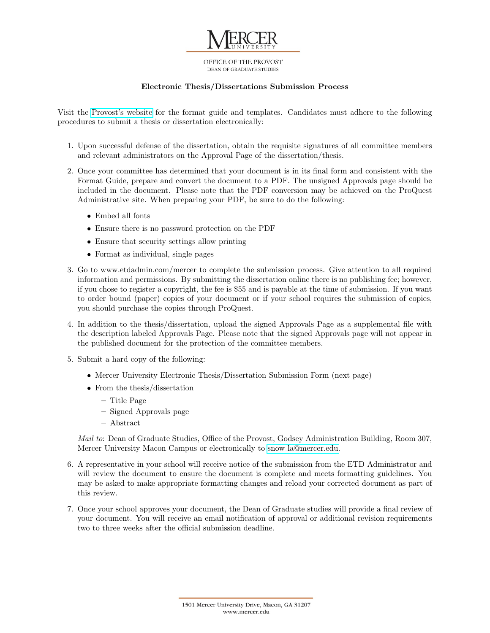

OFFICE OF THE PROVOST DEAN OF GRADUATE STUDIES

## Electronic Thesis/Dissertations Submission Process

Visit the [Provost's website](https://provost.mercer.edu/resources/theses/theses.cfm) for the format guide and templates. Candidates must adhere to the following procedures to submit a thesis or dissertation electronically:

- 1. Upon successful defense of the dissertation, obtain the requisite signatures of all committee members and relevant administrators on the Approval Page of the dissertation/thesis.
- 2. Once your committee has determined that your document is in its final form and consistent with the Format Guide, prepare and convert the document to a PDF. The unsigned Approvals page should be included in the document. Please note that the PDF conversion may be achieved on the ProQuest Administrative site. When preparing your PDF, be sure to do the following:
	- Embed all fonts
	- Ensure there is no password protection on the PDF
	- Ensure that security settings allow printing
	- Format as individual, single pages
- 3. Go to www.etdadmin.com/mercer to complete the submission process. Give attention to all required information and permissions. By submitting the dissertation online there is no publishing fee; however, if you chose to register a copyright, the fee is \$55 and is payable at the time of submission. If you want to order bound (paper) copies of your document or if your school requires the submission of copies, you should purchase the copies through ProQuest.
- 4. In addition to the thesis/dissertation, upload the signed Approvals Page as a supplemental file with the description labeled Approvals Page. Please note that the signed Approvals page will not appear in the published document for the protection of the committee members.
- 5. Submit a hard copy of the following:
	- Mercer University Electronic Thesis/Dissertation Submission Form (next page)
	- From the thesis/dissertation
		- Title Page
		- Signed Approvals page
		- Abstract

Mail to: Dean of Graduate Studies, Office of the Provost, Godsey Administration Building, Room 307, Mercer University Macon Campus or electronically to snow [la@mercer.edu.](mailto: snow_la@mercer.edu)

- 6. A representative in your school will receive notice of the submission from the ETD Administrator and will review the document to ensure the document is complete and meets formatting guidelines. You may be asked to make appropriate formatting changes and reload your corrected document as part of this review.
- 7. Once your school approves your document, the Dean of Graduate studies will provide a final review of your document. You will receive an email notification of approval or additional revision requirements two to three weeks after the official submission deadline.